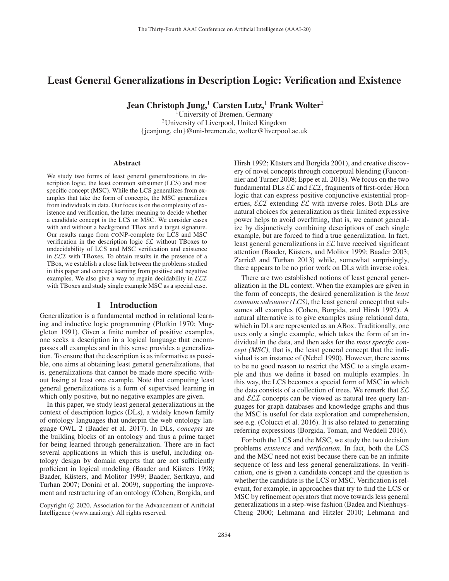# Least General Generalizations in Description Logic: Verification and Existence

Jean Christoph Jung,<sup>1</sup> Carsten Lutz,<sup>1</sup> Frank Wolter<sup>2</sup>

<sup>1</sup>University of Bremen, Germany 2University of Liverpool, United Kingdom {jeanjung, clu}@uni-bremen.de, wolter@liverpool.ac.uk

#### **Abstract**

We study two forms of least general generalizations in description logic, the least common subsumer (LCS) and most specific concept (MSC). While the LCS generalizes from examples that take the form of concepts, the MSC generalizes from individuals in data. Our focus is on the complexity of existence and verification, the latter meaning to decide whether a candidate concept is the LCS or MSC. We consider cases with and without a background TBox and a target signature. Our results range from CONP-complete for LCS and MSC verification in the description logic  $\mathcal{EL}$  without TBoxes to undecidability of LCS and MSC verification and existence in  $\mathcal{ELI}$  with TBoxes. To obtain results in the presence of a TBox, we establish a close link between the problems studied in this paper and concept learning from positive and negative examples. We also give a way to regain decidability in  $\mathcal{ELI}$ with TBoxes and study single example MSC as a special case.

#### 1 Introduction

Generalization is a fundamental method in relational learning and inductive logic programming (Plotkin 1970; Muggleton 1991). Given a finite number of positive examples, one seeks a description in a logical language that encompasses all examples and in this sense provides a generalization. To ensure that the description is as informative as possible, one aims at obtaining least general generalizations, that is, generalizations that cannot be made more specific without losing at least one example. Note that computing least general generalizations is a form of supervised learning in which only positive, but no negative examples are given.

In this paper, we study least general generalizations in the context of description logics (DLs), a widely known family of ontology languages that underpin the web ontology language OWL 2 (Baader et al. 2017). In DLs, *concepts* are the building blocks of an ontology and thus a prime target for being learned through generalization. There are in fact several applications in which this is useful, including ontology design by domain experts that are not sufficiently proficient in logical modeling (Baader and Küsters 1998; Baader, Küsters, and Molitor 1999; Baader, Sertkaya, and Turhan 2007; Donini et al. 2009), supporting the improvement and restructuring of an ontology (Cohen, Borgida, and

Hirsh 1992; Küsters and Borgida 2001), and creative discovery of novel concepts through conceptual blending (Fauconnier and Turner 2008; Eppe et al. 2018). We focus on the two fundamental DLs  $\mathcal{EL}$  and  $\mathcal{ELI}$ , fragments of first-order Horn logic that can express positive conjunctive existential properties,  $\mathcal{ELI}$  extending  $\mathcal{EL}$  with inverse roles. Both DLs are natural choices for generalization as their limited expressive power helps to avoid overfitting, that is, we cannot generalize by disjunctively combining descriptions of each single example, but are forced to find a true generalization. In fact, least general generalizations in  $\mathcal{EL}$  have received significant attention (Baader, Küsters, and Molitor 1999; Baader 2003; Zarrieß and Turhan 2013) while, somewhat surprisingly, there appears to be no prior work on DLs with inverse roles.

There are two established notions of least general generalization in the DL context. When the examples are given in the form of concepts, the desired generalization is the *least common subsumer (LCS)*, the least general concept that subsumes all examples (Cohen, Borgida, and Hirsh 1992). A natural alternative is to give examples using relational data, which in DLs are represented as an ABox. Traditionally, one uses only a single example, which takes the form of an individual in the data, and then asks for the *most specific concept (MSC)*, that is, the least general concept that the individual is an instance of (Nebel 1990). However, there seems to be no good reason to restrict the MSC to a single example and thus we define it based on multiple examples. In this way, the LCS becomes a special form of MSC in which the data consists of a collection of trees. We remark that  $\mathcal{EL}$ and  $\mathcal{ELI}$  concepts can be viewed as natural tree query languages for graph databases and knowledge graphs and thus the MSC is useful for data exploration and comprehension, see e.g. (Colucci et al. 2016). It is also related to generating referring expressions (Borgida, Toman, and Weddell 2016).

For both the LCS and the MSC, we study the two decision problems *existence* and *verification*. In fact, both the LCS and the MSC need not exist because there can be an infinite sequence of less and less general generalizations. In verification, one is given a candidate concept and the question is whether the candidate is the LCS or MSC. Verification is relevant, for example, in approaches that try to find the LCS or MSC by refinement operators that move towards less general generalizations in a step-wise fashion (Badea and Nienhuys-Cheng 2000; Lehmann and Hitzler 2010; Lehmann and

Copyright  $\odot$  2020, Association for the Advancement of Artificial Intelligence (www.aaai.org). All rights reserved.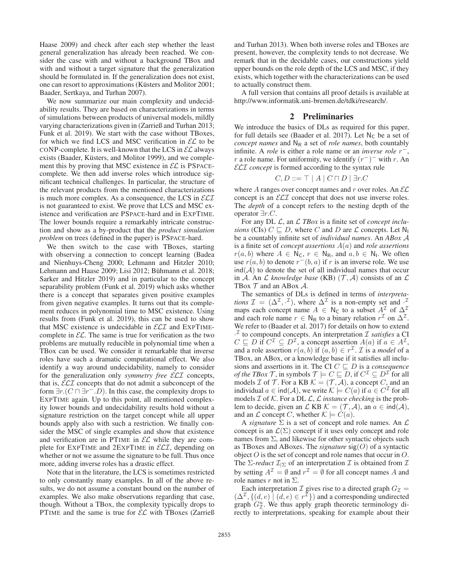Haase 2009) and check after each step whether the least general generalization has already been reached. We consider the case with and without a background TBox and with and without a target signature that the generalization should be formulated in. If the generalization does not exist, one can resort to approximations (Küsters and Molitor 2001; Baader, Sertkaya, and Turhan 2007).

We now summarize our main complexity and undecidability results. They are based on characterizations in terms of simulations between products of universal models, mildly varying characterizations given in (Zarrieß and Turhan 2013; Funk et al. 2019). We start with the case without TBoxes, for which we find LCS and MSC verification in  $\mathcal{EL}$  to be CONP-complete. It is well-known that the LCS in  $\mathcal{EL}$  always exists (Baader, Küsters, and Molitor 1999), and we complement this by proving that MSC existence in  $\mathcal{EL}$  is PSPACEcomplete. We then add inverse roles which introduce significant technical challenges. In particular, the structure of the relevant products from the mentioned characterizations is much more complex. As a consequence, the LCS in  $\mathcal{ELI}$ is not guaranteed to exist. We prove that LCS and MSC existence and verification are PSPACE-hard and in EXPTIME. The lower bounds require a remarkably intricate construction and show as a by-product that the *product simulation problem* on trees (defined in the paper) is PSPACE-hard.

We then switch to the case with TBoxes, starting with observing a connection to concept learning (Badea and Nienhuys-Cheng 2000; Lehmann and Hitzler 2010; Lehmann and Haase 2009; Lisi 2012; Bühmann et al. 2018; Sarker and Hitzler 2019) and in particular to the concept separability problem (Funk et al. 2019) which asks whether there is a concept that separates given positive examples from given negative examples. It turns out that its complement reduces in polynomial time to MSC existence. Using results from (Funk et al. 2019), this can be used to show that MSC existence is undecidable in  $\mathcal{ELI}$  and EXPTIMEcomplete in  $\mathcal{EL}$ . The same is true for verification as the two problems are mutually reducible in polynomial time when a TBox can be used. We consider it remarkable that inverse roles have such a dramatic computational effect. We also identify a way around undecidability, namely to consider for the generalization only *symmetry free* ELI concepts, that is,  $\mathcal{ELI}$  concepts that do not admit a subconcept of the form  $\exists r. (C \sqcap \exists r^- . D)$ . In this case, the complexity drops to EXPTIME again. Up to this point, all mentioned complexity lower bounds and undecidability results hold without a signature restriction on the target concept while all upper bounds apply also with such a restriction. We finally consider the MSC of single examples and show that existence and verification are in PTIME in  $\mathcal{EL}$  while they are complete for EXPTIME and  $2$ EXPTIME in  $\mathcal{ELI}$ , depending on whether or not we assume the signature to be full. Thus once more, adding inverse roles has a drastic effect.

Note that in the literature, the LCS is sometimes restricted to only constantly many examples. In all of the above results, we do not assume a constant bound on the number of examples. We also make observations regarding that case, though. Without a TBox, the complexity typically drops to PTIME and the same is true for  $\mathcal{EL}$  with TBoxes (Zarrieß and Turhan 2013). When both inverse roles and TBoxes are present, however, the complexity tends to not decrease. We remark that in the decidable cases, our constructions yield upper bounds on the role depth of the LCS and MSC, if they exists, which together with the characterizations can be used to actually construct them.

A full version that contains all proof details is available at http://www.informatik.uni-bremen.de/tdki/research/.

#### 2 Preliminaries

We introduce the basics of DLs as required for this paper, for full details see (Baader et al. 2017). Let  $N_c$  be a set of *concept names* and  $N_R$  a set of *role names*, both countably infinite. A *role* is either a role name or an *inverse role* r−, r a role name. For uniformity, we identify  $(r<sup>-</sup>)<sup>-</sup>$  with r. An ELI *concept* is formed according to the syntax rule

$$
C, D ::= \top | A | C \sqcap D | \exists r.C
$$

where  $A$  ranges over concept names and  $r$  over roles. An  $\mathcal{EL}$ concept is an  $\mathcal{ELI}$  concept that does not use inverse roles. The *depth* of a concept refers to the nesting depth of the operator ∃r.C.

For any DL  $\mathcal{L}$ , an  $\mathcal{L}$  *TBox* is a finite set of *concept inclusions* (CIs)  $C \sqsubseteq D$ , where C and D are L concepts. Let N<sub>1</sub> be a countably infinite set of *individual names*. An *ABox* A is a finite set of *concept assertions* A(a) and *role assertions*  $r(a, b)$  where  $A \in N_c$ ,  $r \in N_R$ , and  $a, b \in N_I$ . We often use  $r(a, b)$  to denote  $r^-(b, a)$  if r is an inverse role. We use  $ind(A)$  to denote the set of all individual names that occur in A. An  $\mathcal L$  *knowledge base* (KB)  $(\mathcal T, \mathcal A)$  consists of an  $\mathcal L$ TBox  $T$  and an ABox  $A$ .

The semantics of DLs is defined in terms of *interpretations*  $\mathcal{I} = (\Delta^{\mathcal{I}}, \cdot^{\mathcal{I}})$ , where  $\Delta^{\mathcal{I}}$  is a non-empty set and  $\cdot^{\mathcal{I}}$ maps each concept name  $A \in N_C$  to a subset  $A<sup>\mathcal{I}</sup>$ </sup> of  $\Delta^{\mathcal{I}}$ and each role name  $r \in N_R$  to a binary relation  $r^{\mathcal{I}}$  on  $\Delta^{\mathcal{I}}$ . We refer to (Baader et al. 2017) for details on how to extend  $\cdot^{\mathcal{I}}$  to compound concepts. An interpretation  $\mathcal{I}$  *satisfies* a CI  $C \subseteq D$  if  $C^{\mathcal{I}} \subseteq D^{\mathcal{I}}$ , a concept assertion  $A(a)$  if  $a \in A^{\mathcal{I}}$ , and a role assertion  $r(a, b)$  if  $(a, b) \in r^{\mathcal{I}}$ . *T* is a *model* of a TBox, an ABox, or a knowledge base if it satisfies all inclusions and assertions in it. The CI  $C \sqsubseteq D$  is a *consequence of the TBox T*, in symbols  $\mathcal{T} \models C \sqsubseteq D$ , if  $C^{\mathcal{I}} \subseteq D^{\mathcal{I}}$  for all models *I* of *T*. For a KB  $K = (T, A)$ , a concept *C*, and an individual  $a \in \text{ind}(\mathcal{A})$ , we write  $\mathcal{K} \models C(a)$  if  $a \in C^{\mathcal{I}}$  for all models  $\mathcal I$  of  $\mathcal K$ . For a DL  $\mathcal L$ ,  $\mathcal L$  *instance checking* is the problem to decide, given an  $\mathcal L$  KB  $\mathcal K = (\mathcal T, \mathcal A)$ , an  $a \in \text{ind}(\mathcal A)$ , and an  $\mathcal L$  concept C, whether  $\mathcal K \models C(a)$ .

A *signature*  $\Sigma$  is a set of concept and role names. An  $\mathcal L$ concept is an  $\mathcal{L}(\Sigma)$  concept if it uses only concept and role names from  $\Sigma$ , and likewise for other syntactic objects such as TBoxes and ABoxes. The *signature*  $\text{sig}(O)$  of a syntactic object O is the set of concept and role names that occur in O. The *Σ-reduct*  $\mathcal{I}_{\vert \Sigma}$  of an interpretation  $\mathcal I$  is obtained from  $\mathcal I$ by setting  $A^{\mathcal{I}} = \emptyset$  and  $r^{\mathcal{I}} = \emptyset$  for all concept names A and role names  $r$  not in  $\Sigma$ .

Each interpretation  $\mathcal I$  gives rise to a directed graph  $G_{\mathcal I}$  =  $(\Delta^{\mathcal{I}}, \{(d, e) | (d, e) \in r^{\mathcal{I}}\})$  and a corresponding undirected graph  $G_{\mathcal{I}}^u$ . We thus apply graph theoretic terminology directly to interpretations, speaking for example about their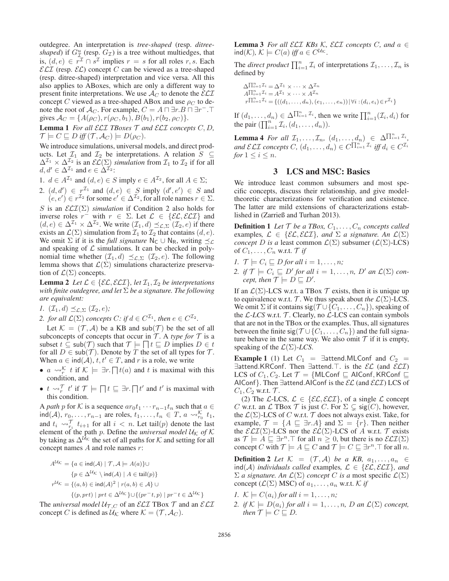outdegree. An interpretation is *tree-shaped* (resp. *ditreeshaped*) if  $G_{\mathcal{I}}^u$  (resp.  $G_{\mathcal{I}}$ ) is a tree without multiedges, that is,  $(d, e) \in r^{\mathcal{I}} \cap s^{\mathcal{I}}$  implies  $r = s$  for all roles r, s. Each  $\mathcal{ELI}$  (resp.  $\mathcal{EL}$ ) concept C can be viewed as a tree-shaped (resp. ditree-shaped) interpretation and vice versa. All this also applies to ABoxes, which are only a different way to present finite interpretations. We use  $\mathcal{A}_{C}$  to denote the  $\mathcal{ELI}$ concept C viewed as a tree-shaped ABox and use  $\rho_C$  to denote the root of  $\mathcal{A}_C$ . For example,  $C = A \sqcap \exists r.B \sqcap \exists r^- \sqcap \exists r$ gives  $\mathcal{A}_C = \{A(\rho_C), r(\rho_C, b_1), B(b_1), r(b_2, \rho_C)\}.$ 

Lemma 1 *For all* ELI *TBoxes* T *and* ELI *concepts* C, D*,*  $\mathcal{T} \models C \sqsubseteq D$  *iff*  $(\mathcal{T}, \mathcal{A}_C) \models D(\rho_C)$ .

We introduce simulations, universal models, and direct products. Let  $\mathcal{I}_1$  and  $\mathcal{I}_2$  be interpretations. A relation  $S \subseteq$  $\Delta^{1} \times \Delta^{1}$  is an  $\mathcal{EL}(\Sigma)$  *simulation* from  $\mathcal{I}_1$  to  $\mathcal{I}_2$  if for all  $d, d' \in \Delta^{1}$  and  $e \in \Delta^{1}$ .

1.  $d \in A^{\mathcal{I}_1}$  and  $(d, e) \in S$  imply  $e \in A^{\mathcal{I}_2}$ , for all  $A \in \Sigma$ ;

2.  $(d, d') \in r^{\mathcal{I}_1}$  and  $(d, e) \in S$  imply  $(d', e') \in S$  and  $(e, e') \in r^{\mathcal{I}_2}$  for some  $e' \in \Delta^{\mathcal{I}_2}$ , for all role names  $r \in \Sigma$ .

S is an  $\mathcal{ELI}(\Sigma)$  *simulation* if Condition 2 also holds for inverse roles  $r^{-}$  with  $r \in \Sigma$ . Let  $\mathcal{L} \in \{\mathcal{EL}, \mathcal{ELI}\}\$ and  $(d, e) \in \Delta^{\mathcal{I}_1} \times \Delta^{\mathcal{I}_2}$ . We write  $(\mathcal{I}_1, d) \preceq_{\mathcal{L}, \Sigma} (\mathcal{I}_2, e)$  if there exists an  $\mathcal{L}(\Sigma)$  simulation from  $\mathcal{I}_1$  to  $\mathcal{I}_2$  that contains  $(d, e)$ . We omit  $\Sigma$  if it is the *full signature*  $N_C \cup N_R$ , writing  $\preceq_{\mathcal{L}}$ and speaking of  $\mathcal L$  simulations. It can be checked in polynomial time whether  $(\mathcal{I}_1, d) \preceq_{\mathcal{L}, \Sigma} (\mathcal{I}_2, e)$ . The following lemma shows that  $\mathcal{L}(\Sigma)$  simulations characterize preservation of  $\mathcal{L}(\Sigma)$  concepts.

**Lemma 2** *Let*  $\mathcal{L} \in \{ \mathcal{EL}, \mathcal{ELI} \}$ *, let*  $\mathcal{I}_1, \mathcal{I}_2$  *be interpretations with finite outdegree, and let* Σ *be a signature. The following are equivalent:*

*1.*  $(\mathcal{I}_1, d) \preceq_{\mathcal{L}, \Sigma} (\mathcal{I}_2, e)$ ;

*2. for all*  $\mathcal{L}(\Sigma)$  *concepts*  $C$ *: if*  $d \in C^{\mathcal{I}_1}$ *, then*  $e \in C^{\mathcal{I}_2}$ *.* 

Let  $\mathcal{K} = (\mathcal{T}, \mathcal{A})$  be a KB and sub $(\mathcal{T})$  be the set of all subconcepts of concepts that occur in  $T$ . A *type for*  $T$  is a subset  $t \subseteq \text{sub}(\mathcal{T})$  such that  $\mathcal{T} \models \Box t \sqsubseteq D$  implies  $D \in t$ for all  $D \in \text{sub}(\mathcal{T})$ . Denote by T the set of all types for T. When  $a \in \text{ind}(\mathcal{A})$ ,  $t, t' \in T$ , and r is a role, we write

- $a \rightsquigarrow^{\mathcal{K}}_{r} t$  if  $\mathcal{K} \models \exists r \cdot \prod t(a)$  and t is maximal with this condition, and
- $t \leadsto_{r}^{\mathcal{T}} t'$  if  $\mathcal{T} \models \Box t \sqsubseteq \exists r. \Box t'$  and  $t'$  is maximal with this condition.

A *path* p for K is a sequence  $ar_0t_1 \cdots r_{n-1}t_n$  such that  $a \in$  $\text{ind}(\mathcal{A})$ ,  $r_0, \ldots, r_{n-1}$  are roles,  $t_1, \ldots, t_n \in T$ ,  $a \leadsto_{r_0}^{\mathcal{K}} t_1$ , and  $t_i \leadsto_{r_i}^{\mathcal{T}} t_{i+1}$  for all  $i < n$ . Let tail(p) denote the last element of the path p. Define the *universal model*  $U_K$  of  $K$ by taking as  $\Delta^{U_{\mathcal{K}}}$  the set of all paths for K and setting for all concept names  $A$  and role names  $r$ :

$$
A^{U_K} = \{ a \in \text{ind}(\mathcal{A}) \mid \mathcal{T}, \mathcal{A} \models A(a) \} \cup
$$
  
\n
$$
\{ p \in \Delta^{U_K} \setminus \text{ind}(\mathcal{A}) \mid A \in \text{tail}(p) \}
$$
  
\n
$$
r^{U_K} = \{ (a, b) \in \text{ind}(\mathcal{A})^2 \mid r(a, b) \in \mathcal{A} \} \cup
$$
  
\n
$$
\{ (p, prt) \mid prt \in \Delta^{U_K} \} \cup \{ (pr^-t, p) \mid pr^-t \in \Delta^{U_K} \}
$$

The *universal model*  $U_{T,C}$  of an *ELI* TBox  $T$  and an *ELI* concept C is defined as  $\mathcal{U}_{\mathcal{K}}$  where  $\mathcal{K} = (\mathcal{T}, \mathcal{A}_{C})$ .

**Lemma 3** For all  $\mathcal{ELI}$  KBs K,  $\mathcal{ELI}$  concepts C, and  $a \in$  $ind(\mathcal{K})$ ,  $\mathcal{K} \models C(a)$  *iff*  $a \in C^{U_{\mathcal{K}}}$ .

The *direct product*  $\prod_{i=1}^{n} \mathcal{I}_i$  of interpretations  $\mathcal{I}_1, \ldots, \mathcal{I}_n$  is defined by

$$
\Delta \Pi_{i=1}^{n} \mathcal{I}_{i} = \Delta^{\mathcal{I}_{1}} \times \cdots \times \Delta^{\mathcal{I}_{n}} \nA \Pi_{i=1}^{n} \mathcal{I}_{i} = A^{\mathcal{I}_{1}} \times \cdots \times A^{\mathcal{I}_{n}} \nr \Pi_{i=1}^{n} \mathcal{I}_{i} = \{((d_{1}, \ldots, d_{n}), (e_{1}, \ldots, e_{n})) | \forall i : (d_{i}, e_{i}) \in r^{\mathcal{I}_{i}}\}
$$

If  $(d_1, \ldots, d_n) \in \Delta^{\prod_{i=1}^n \mathcal{I}_i}$ , then we write  $\prod_{i=1}^n (\mathcal{I}_i, d_i)$  for the pair  $(\prod_{i=1}^n \mathcal{I}_i, (d_1, \ldots, d_n)).$ 

**Lemma 4** For all  $\mathcal{I}_1, \ldots, \mathcal{I}_n, (d_1, \ldots, d_n) \in \Delta^{\prod_{i=1}^n \mathcal{I}_i}$ , and  $\mathcal{ELI}$  concepts  $C$ ,  $(d_1, \ldots, d_n) \in C^{\prod_{i=1}^n \mathcal{I}_i}$  iff  $d_i \in C^{\mathcal{I}_i}$ *for*  $1 \leq i \leq n$ .

# 3 LCS and MSC: Basics

We introduce least common subsumers and most specific concepts, discuss their relationship, and give modeltheoretic characterizations for verification and existence. The latter are mild extensions of characterizations established in (Zarrieß and Turhan 2013).

**Definition 1** Let  $T$  be a TBox,  $C_1, \ldots, C_n$  concepts called examples,  $\mathcal{L} \in \{ \mathcal{EL}, \mathcal{ELI} \}$ , and  $\Sigma$  *a* signature. An  $\mathcal{L}(\Sigma)$ *concept* D *is a* least common  $\mathcal{L}(\Sigma)$  subsumer ( $\mathcal{L}(\Sigma)$ -LCS) of  $C_1, \ldots, C_n$  w.r.t.  $\mathcal T$  *if* 

- *1.*  $\mathcal{T} \models C_i \sqsubseteq D$  *for all*  $i = 1, \ldots, n$ *;*
- 2. if  $\mathcal{T} \models C_i \sqsubseteq D'$  for all  $i = 1, ..., n$ ,  $D'$  an  $\mathcal{L}(\Sigma)$  con*cept,* then  $\overline{\mathcal{T}} \models D \sqsubseteq D'$ .

If an  $\mathcal{L}(\Sigma)$ -LCS w.r.t. a TBox  $\mathcal{T}$  exists, then it is unique up to equivalence w.r.t.  $\mathcal{T}$ . We thus speak about *the*  $\mathcal{L}(\Sigma)$ -LCS. We omit  $\Sigma$  if it contains sig( $\mathcal{T} \cup \{C_1,\ldots,C_n\}$ ), speaking of the  $\mathcal{L}\text{-}LCS$  w.r.t.  $\mathcal{T}$ . Clearly, no  $\mathcal{L}\text{-}LCS$  can contain symbols that are not in the TBox or the examples. Thus, all signatures between the finite sig( $\mathcal{T} \cup \{C_1,\ldots,C_n\}$ ) and the full signature behave in the same way. We also omit  $T$  if it is empty, speaking of the  $\mathcal{L}(\Sigma)$ -*LCS*.

**Example 1** (1) Let  $C_1$  =  $\exists$ attend.MLConf and  $C_2$  = ∃attend.KRConf. Then ∃attend. T. is the  $E\mathcal{L}$  (and  $E\mathcal{L}\mathcal{I}$ ) LCS of  $C_1, C_2$ . Let  $\mathcal{T} = \{ \text{MLConf} \sqsubseteq \text{AlConf}, \text{KRConf} \sqsubseteq$ AIConf}. Then ∃attend.AIConf is the  $\mathcal{EL}$  (and  $\mathcal{ELI}$ ) LCS of  $C_1, C_2$  w.r.t.  $\mathcal{T}$ .

(2) The L-LCS,  $\mathcal{L} \in \{ \mathcal{EL}, \mathcal{ELI} \}$ , of a single  $\mathcal{L}$  concept C w.r.t. an  $\mathcal L$  TBox  $\mathcal T$  is just C. For  $\Sigma \subsetneq \text{sig}(C)$ , however, the  $\mathcal{L}(\Sigma)$ -LCS of C w.r.t. T does not always exist. Take, for example,  $\mathcal{T} = \{A \sqsubseteq \exists r.A\}$  and  $\Sigma = \{r\}$ . Then neither the  $\mathcal{ELI}(\Sigma)$ -LCS nor the  $\mathcal{EL}(\Sigma)$ -LCS of A w.r.t. T exists as  $\mathcal{T} \models A \sqsubseteq \exists r^n \top$  for all  $n \geq 0$ , but there is no  $\mathcal{ELI}(\Sigma)$ concept C with  $\mathcal{T} \models A \sqsubseteq C$  and  $\mathcal{T} \models C \sqsubseteq \exists r^n \top$  for all n.

**Definition 2** Let  $\mathcal{K} = (\mathcal{T}, \mathcal{A})$  be a KB,  $a_1, \ldots, a_n \in$  $ind(A)$  *individuals called* examples,  $\mathcal{L} \in \{ \mathcal{EL}, \mathcal{ELI} \}$ *, and*  $\Sigma$  *a signature. An*  $\mathcal{L}(\Sigma)$  *concept C is a* most specific  $\mathcal{L}(\Sigma)$ concept  $(\mathcal{L}(\Sigma)$  MSC) of  $a_1, \ldots, a_n$  w.r.t.  $\mathcal K$  *if* 

- *1.*  $K \models C(a_i)$  *for all*  $i = 1, \ldots, n$ *;*
- *2. if*  $K \models D(a_i)$  *for all*  $i = 1, \ldots, n$ *,*  $D$  *an*  $\mathcal{L}(\Sigma)$  *concept, then*  $\mathcal{T} \models C \sqsubseteq D$ *.*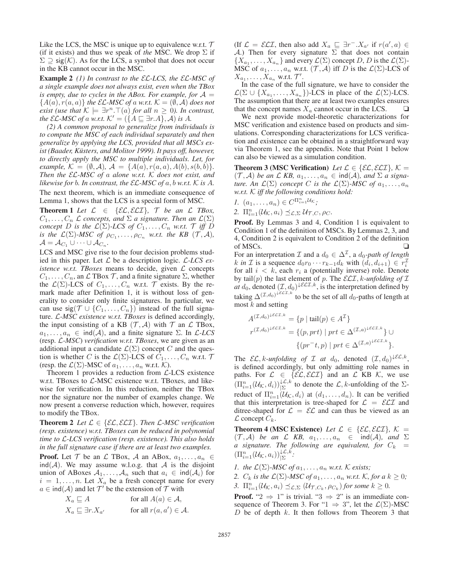Like the LCS, the MSC is unique up to equivalence w.r.t.  $\mathcal T$ (if it exists) and thus we speak of *the* MSC. We drop  $\Sigma$  if  $\Sigma \supseteq$  sig(K). As for the LCS, a symbol that does not occur in the KB cannot occur in the MSC.

Example 2 *(1) In contrast to the* EL*-LCS, the* EL*-MSC of a single example does not always exist, even when the TBox is empty, due to cycles in the ABox. For example, for*  $A =$  ${A(a), r(a, a)}$  *the EL-MSC of a w.r.t.*  $K = (\emptyset, \mathcal{A})$  *does not exist (use that*  $K \models \exists r^n \cdot \top(a)$  *for all*  $n \geq 0$ *). In contrast, the* EL-MSC of a w.r.t.  $K' = (\{A \sqsubseteq \exists r.A\}, \mathcal{A})$  is A.

*(2) A common proposal to generalize from individuals is to compute the MSC of each individual separately and then generalize by applying the LCS, provided that all MSCs exist (Baader, Küsters, and Molitor 1999). It pays off, however, to directly apply the MSC to multiple individuals. Let, for example,*  $K = (\emptyset, \mathcal{A})$ ,  $\mathcal{A} = \{A(a), r(a, a), A(b), s(b, b)\}.$ *Then the* EL*-MSC of* a *alone w.r.t.* K *does not exist, and likewise for b. In constrast, the*  $\mathcal{EL}$ *-MSC of a, b w.r.t.* K *is A.* The next theorem, which is an immediate consequence of Lemma 1, shows that the LCS is a special form of MSC.

**Theorem 1** Let  $\mathcal{L} \in \{ \mathcal{EL}, \mathcal{ELI} \}, \mathcal{T}$  be an  $\mathcal{L}$  **TBox**,  $C_1, \ldots, C_n$  L concepts, and  $\Sigma$  a signature. Then an  $\mathcal{L}(\Sigma)$ *concept* D *is the*  $\mathcal{L}(\Sigma)$ -LCS of  $C_1, \ldots, C_n$  *w.r.t.*  $\mathcal{T}$  *iff* D *is the*  $\mathcal{L}(\Sigma)$ -*MSC of*  $\rho_{C_1}, \ldots, \rho_{C_n}$  *w.r.t. the KB*  $(\mathcal{T}, \mathcal{A})$ *,*  $\mathcal{A} = \mathcal{A}_{C_1} \cup \cdots \cup \mathcal{A}_{C_n}$ .

LCS and MSC give rise to the four decision problems studied in this paper. Let L be a description logic. L*-LCS existence w.r.t. TBoxes* means to decide, given  $\mathcal{L}$  concepts  $C_1, \ldots, C_n$ , an  $\mathcal L$  TBox  $\mathcal T$ , and a finite signature  $\Sigma$ , whether the  $\mathcal{L}(\Sigma)$ -LCS of  $C_1,\ldots,C_n$  w.r.t.  $\mathcal T$  exists. By the remark made after Definition 1, it is without loss of generality to consider only finite signatures. In particular, we can use sig( $\mathcal{T} \cup \{C_1,\ldots,C_n\}$ ) instead of the full signature. L*-MSC existence w.r.t. TBoxes* is defined accordingly, the input consisting of a KB  $(\mathcal{T}, \mathcal{A})$  with  $\mathcal{T}$  an  $\mathcal{L}$  TBox,  $a_1, \ldots, a_n \in \text{ind}(\mathcal{A})$ , and a finite signature  $\Sigma$ . In  $\mathcal{L}\text{-}LCS$ (resp. L*-MSC*) *verification w.r.t. TBoxes*, we are given as an additional input a candidate  $\mathcal{L}(\Sigma)$  concept C and the question is whether C is the  $\mathcal{L}(\Sigma)$ -LCS of  $C_1, \ldots, C_n$  w.r.t.  $\mathcal T$ (resp. the  $\mathcal{L}(\Sigma)$ -MSC of  $a_1, \ldots, a_n$  w.r.t. K).

Theorem 1 provides a reduction from  $\mathcal{L}\text{-LCS}$  existence w.r.t. TBoxes to  $\mathcal{L}\text{-MSC}$  existence w.r.t. TBoxes, and likewise for verification. In this reduction, neither the TBox nor the signature nor the number of examples change. We now present a converse reduction which, however, requires to modify the TBox.

**Theorem 2** *Let*  $\mathcal{L} \in \{ \mathcal{EL}, \mathcal{ELI} \}$ *. Then*  $\mathcal{L}\text{-}MSC$  verification *(resp. existence) w.r.t. TBoxes can be reduced in polynomial time to* L*-LCS verification (resp. existence). This also holds in the full signature case if there are at least two examples.*

**Proof.** Let  $\mathcal{T}$  be an  $\mathcal{L}$  TBox,  $\mathcal{A}$  an ABox,  $a_1, \ldots, a_n \in$  $ind(A)$ . We may assume w.l.o.g. that A is the disjoint union of ABoxes  $A_1, \ldots, A_n$  such that  $a_i \in \text{ind}(\mathcal{A}_i)$  for  $i = 1, \ldots, n$ . Let  $X_a$  be a fresh concept name for every  $a \in \text{ind}(\mathcal{A})$  and let  $\mathcal{T}'$  be the extension of  $\mathcal T$  with

$$
X_a \sqsubseteq A \qquad \text{for all } A(a) \in \mathcal{A},
$$
  

$$
X_a \sqsubseteq \exists r.X_{a'} \qquad \text{for all } r(a, a') \in \mathcal{A}.
$$

(If  $\mathcal{L} = \mathcal{ELI}$ , then also add  $X_a \sqsubseteq \exists r^- . X_{a'}$  if  $r(a', a) \in$ A.) Then for every signature  $\Sigma$  that does not contain  $\{X_{a_1},\ldots,X_{a_n}\}\$  and every  $\mathcal{L}(\Sigma)$  concept D, D is the  $\mathcal{L}(\Sigma)$ -MSC of  $a_1, \ldots, a_n$  w.r.t.  $(\mathcal{T}, \mathcal{A})$  iff D is the  $\mathcal{L}(\Sigma)$ -LCS of  $X_{a_1}, \ldots, X_{a_n}$  w.r.t.  $\mathcal{T}'$ .

In the case of the full signature, we have to consider the  $\mathcal{L}(\Sigma \cup \{X_{a_1}, \ldots, X_{a_n}\})$ -LCS in place of the  $\mathcal{L}(\Sigma)$ -LCS. The assumption that there are at least two examples ensures that the concept names  $X_a$  cannot occur in the LCS.  $\Box$ 

We next provide model-theoretic characterizations for MSC verification and existence based on products and simulations. Corresponding characterizations for LCS verification and existence can be obtained in a straightforward way via Theorem 1, see the appendix. Note that Point 1 below can also be viewed as a simulation condition.

**Theorem 3 (MSC Verification)** Let  $\mathcal{L} \in \{ \mathcal{EL}, \mathcal{ELI} \}$ ,  $\mathcal{K} =$  $(\mathcal{T}, \mathcal{A})$  *be an*  $\mathcal{L}$  *KB,*  $a_1, \ldots, a_n \in \text{ind}(\mathcal{A})$ *, and*  $\Sigma$  *a signature.* An  $\mathcal{L}(\Sigma)$  *concept* C *is the*  $\mathcal{L}(\Sigma)$ -MSC of  $a_1, \ldots, a_n$ *w.r.t.* K *iff the following conditions hold:*

1. 
$$
(a_1, \ldots, a_n) \in C^{\Pi_{i=1}^n \mathcal{U}_\mathcal{K}}
$$
;  
\n2.  $\Pi_{i=1}^n (\mathcal{U}_\mathcal{K}, a_i) \preceq_{\mathcal{L}, \Sigma} \mathcal{U}_{\mathcal{T}, C}, \rho_C$ .

Proof. By Lemmas 3 and 4, Condition 1 is equivalent to Condition 1 of the definition of MSCs. By Lemmas 2, 3, and 4, Condition 2 is equivalent to Condition 2 of the definition of MSCs. □

For an interpretation  $\mathcal I$  and a  $d_0 \in \Delta^{\mathcal I}$ , a  $d_0$ -path of length k in *I* is a sequence  $d_0r_0 \cdots r_{k-1}d_k$  with  $(d_i, d_{i+1}) \in r_i^{\mathcal{I}}$ for all  $i < k$ , each  $r_i$  a (potentially inverse) role. Denote by tail $(p)$  the last element of p. The  $\mathcal{ELI}$ , k-unfolding of  $\mathcal I$ *at*  $d_0$ , denoted  $(\mathcal{I}, d_0) \downarrow \mathcal{ELI}, k$ , is the interpretation defined by taking  $\Delta^{(\mathcal{I},d_0)^{\downarrow \mathcal{ELI},k}}$  to be the set of all  $d_0$ -paths of length at most  $k$  and setting

$$
A^{(\mathcal{T},d_0)^{\downarrow\mathcal{ELI},k}} = \{p \mid \operatorname{tail}(p) \in A^{\mathcal{I}}\}
$$

$$
r^{(\mathcal{T},d_0)^{\downarrow\mathcal{ELI},k}} = \{(p,prt) \mid prt \in \Delta^{(\mathcal{T},a)^{\downarrow\mathcal{ELI},k}}\} \cup \{(pr^-t,p) \mid prt \in \Delta^{(\mathcal{T},a)^{\downarrow\mathcal{ELI},k}}\}.
$$

The  $\mathcal{EL}, k$ -unfolding of  $\mathcal I$  at  $d_0$ , denoted  $(\mathcal I, d_0)^{\downarrow \mathcal{EL}, k}$ , is defined accordingly, but only admitting role names in paths. For  $\mathcal{L} \in \{\varepsilon \mathcal{L}, \varepsilon \mathcal{L} \mathcal{I}\}\$  and an  $\mathcal{L}$  KB  $\mathcal{K}$ , we use  $(\Pi_{i=1}^n(\mathcal{U}_\mathcal{K},d_i))_{|\Sigma}^{\mathcal{L},k}$  to denote the  $\mathcal{L},k$ -unfolding of the  $\Sigma$ reduct of  $\Pi_{i=1}^n(\mathcal{U}_{\mathcal{K}},d_i)$  at  $(d_1,\ldots,d_n)$ . It can be verified that this interpretation is tree-shaped for  $\mathcal{L} = \mathcal{ELI}$  and ditree-shaped for  $\mathcal{L} = \mathcal{EL}$  and can thus be viewed as an  $\mathcal L$  concept  $C_k$ .

**Theorem 4 (MSC Existence)** Let  $\mathcal{L} \in \{ \mathcal{EL}, \mathcal{ELI} \}$ ,  $\mathcal{K} =$  $(\mathcal{T}, \mathcal{A})$  *be an*  $\mathcal{L}$  *KB*,  $a_1, \ldots, a_n \in \text{ind}(\mathcal{A})$ *, and*  $\Sigma$  $\alpha$  signature. The following are equivalent, for  $C_k$  =  $(\Pi_{i=1}^n(\mathcal{U}_\mathcal{K},a_i))_{|\Sigma}^{\downarrow\mathcal{L},\check{k}}$ :

*1. the*  $\mathcal{L}(\Sigma)$ *-MSC of*  $a_1, \ldots, a_n$  *w.r.t.*  $\mathcal K$  *exists;* 

*2.*  $C_k$  *is the*  $\mathcal{L}(\Sigma)$ *-MSC of*  $a_1, \ldots, a_n$  *w.r.t.*  $\mathcal{K}$ *, for*  $a \, k \geq 0$ *;* 

3.  $\Pi_{i=1}^n(\mathcal{U}_{\mathcal{K}},a_i) \preceq_{\mathcal{L},\Sigma} (\mathcal{U}_{\mathcal{T},C_k},\rho_{C_k})$  *for some*  $k \geq 0$ *.* 

**Proof.** " $2 \Rightarrow 1$ " is trivial. " $3 \Rightarrow 2$ " is an immediate consequence of Theorem 3. For "1  $\Rightarrow$  3", let the  $\mathcal{L}(\Sigma)$ -MSC D be of depth  $k$ . It then follows from Theorem 3 that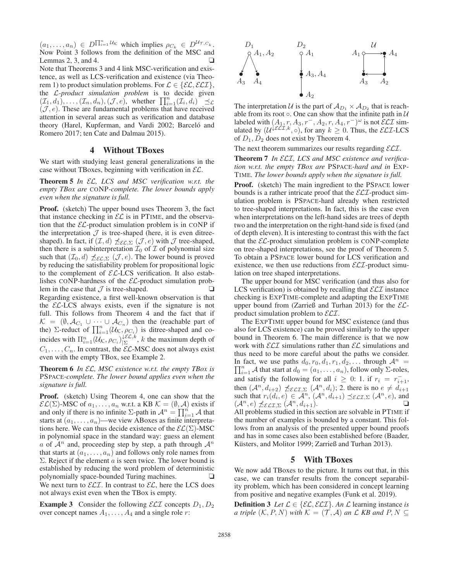$(a_1,\ldots,a_n) \in D^{\prod_{i=1}^n U_{\mathcal{K}}}$  which implies  $\rho_{C_k} \in D^{\mathcal{U}_{\mathcal{T},C_k}}$ . Now Point 3 follows from the definition of the MSC and Lemmas  $2, 3$ , and  $4$ . Note that Theorems 3 and 4 link MSC-verification and existence, as well as LCS-verification and existence (via Theorem 1) to product simulation problems. For  $\mathcal{L} \in \{ \mathcal{EL}, \mathcal{ELI} \},\$ the *L*-product simulation problem is to decide given  $(\mathcal{I}_1, d_1), \ldots, (\mathcal{I}_n, d_n), (\mathcal{J}, e)$ , whether  $\prod_{i=1}^n (\mathcal{I}_i, d_i) \leq \mathcal{L}$  $(\mathcal{J}, e)$ . These are fundamental problems that have received attention in several areas such as verification and database theory (Harel, Kupferman, and Vardi 2002; Barceló and Romero 2017; ten Cate and Dalmau 2015).

### 4 Without TBoxes

We start with studying least general generalizations in the case without TBoxes, beginning with verification in  $\mathcal{EL}$ .

Theorem 5 *In* EL*, LCS and MSC verification w.r.t. the empty TBox are* CONP*-complete. The lower bounds apply even when the signature is full.*

Proof. (sketch) The upper bound uses Theorem 3, the fact that instance checking in  $\mathcal{EL}$  is in PTIME, and the observation that the  $\mathcal{EL}\text{-product}$  simulation problem is in CONP if the interpretation  $\mathcal J$  is tree-shaped (here, it is even ditreeshaped). In fact, if  $(\mathcal{I}, d) \npreceq_{\mathcal{EL}, \Sigma} (\mathcal{J}, e)$  with  $\mathcal J$  tree-shaped, then there is a subinterpretation  $\mathcal{I}_0$  of  $\mathcal I$  of polynomial size such that  $(\mathcal{I}_0, d) \npreceq_{\mathcal{EL}, \Sigma} (\mathcal{J}, e)$ . The lower bound is proved by reducing the satisfiability problem for propositional logic to the complement of  $\mathcal{EL}-LCS$  verification. It also establishes CONP-hardness of the  $\mathcal{EL}$ -product simulation problem in the case that  $\mathcal J$  is tree-shaped.  $\Box$ Regarding existence, a first well-known observation is that the  $\mathcal{EL}\text{-LCS}$  always exists, even if the signature is not full. This follows from Theorem 4 and the fact that if  $\mathcal{K} = (\emptyset, \mathcal{A}_{C_1} \cup \cdots \cup \mathcal{A}_{C_n})$  then the (reachable part of the)  $\Sigma$ -reduct of  $\prod_{i=1}^{n} (U_K, \rho_{C_i})$  is ditree-shaped and coincides with  $\Pi_{i=1}^n (\mathcal{U}_{\mathcal{K}}, \rho_{C_i})_{\vert \Sigma}^{\vert \mathcal{EL}, k}$ , k the maximum depth of  $C_1, \ldots, C_n$ . In contrast, the  $\mathcal{EL}\text{-MSC}$  does not always exist even with the empty TBox, see Example 2.

Theorem 6 *In* EL*, MSC existence w.r.t. the empty TBox is* PSPACE*-complete. The lower bound applies even when the signature is full.*

Proof. (sketch) Using Theorem 4, one can show that the  $\mathcal{EL}(\Sigma)$ -MSC of  $a_1, \ldots, a_n$  w.r.t. a KB  $\mathcal{K} = (\emptyset, \mathcal{A})$  exists if and only if there is no infinite  $\Sigma$ -path in  $\mathcal{A}^n = \prod_{i=1}^n \mathcal{A}$  that starts at  $(a_1, \ldots, a_n)$ —we view ABoxes as finite interpretations here. We can thus decide existence of the  $\mathcal{EL}(\Sigma)$ -MSC in polynomial space in the standard way: guess an element a of  $A^n$  and, proceeding step by step, a path through  $A^n$ that starts at  $(a_1, \ldots, a_n)$  and follows only role names from  $\Sigma$ . Reject if the element a is seen twice. The lower bound is established by reducing the word problem of deterministic polynomially space-bounded Turing machines. □ We next turn to  $\mathcal{ELI}$ . In contrast to  $\mathcal{EL}$ , here the LCS does not always exist even when the TBox is empty.

**Example 3** Consider the following  $\mathcal{ELI}$  concepts  $D_1, D_2$ over concept names  $A_1, \ldots, A_4$  and a single role r:



The interpretation U is the part of  $A_{D_1} \times A_{D_2}$  that is reachable from its root  $\circ$ . One can show that the infinite path in  $U$ labeled with  $(A_1, r, A_3, r^-, A_2, r, A_4, r^-)^\omega$  is not  $\mathcal{ELI}$  simulated by  $(U^{\{\mathcal{E}\mathcal{L}\mathcal{I}, k}, \circ\},$  for any  $k \geq 0$ . Thus, the  $\mathcal{ELI\text{-}LCS}$ of  $D_1, D_2$  does not exist by Theorem 4.

The next theorem summarizes our results regarding  $\mathcal{ELI}$ .

Theorem 7 *In* ELI*, LCS and MSC existence and verification w.r.t. the empty TBox are* PSPACE*-hard and in* EXP-TIME*. The lower bounds apply when the signature is full.*

Proof. (sketch) The main ingredient to the PSPACE lower bounds is a rather intricate proof that the  $\mathcal{ELI}\text{-product sim-}$ ulation problem is PSPACE-hard already when restricted to tree-shaped interpretations. In fact, this is the case even when interpretations on the left-hand sides are trees of depth two and the interpretation on the right-hand side is fixed (and of depth eleven). It is interesting to contrast this with the fact that the  $\mathcal{EL}\text{-product}$  simulation problem is CONP-complete on tree-shaped interpretations, see the proof of Theorem 5. To obtain a PSPACE lower bound for LCS verification and existence, we then use reductions from  $\mathcal{ELI}$ -product simulation on tree shaped interpretations.

The upper bound for MSC verification (and thus also for LCS verification) is obtained by recalling that  $\mathcal{ELI}$  instance checking is EXPTIME-complete and adapting the EXPTIME upper bound from (Zarrieß and Turhan 2013) for the  $\mathcal{EL}$ product simulation problem to  $\mathcal{ELI}$ .

The EXPTIME upper bound for MSC existence (and thus also for LCS existence) can be proved similarly to the upper bound in Theorem 6. The main difference is that we now work with  $\mathcal{ELI}$  simulations rather than  $\mathcal{EL}$  simulations and thus need to be more careful about the paths we consider.  $\prod_{i=1}^{n}$  A that start at  $d_0 = (a_1, \ldots, a_n)$ , follow only  $\Sigma$ -roles, In fact, we use paths  $d_0, r_0, d_1, r_1, d_2, \ldots$  through  $\mathcal{A}^n$  = and satisfy the following for all  $i \geq 0$ : 1. if  $r_i = r_{i+1}^-$ , then  $(A^n, d_{i+2}) \nleq \varepsilon \varepsilon \tau \nleq (\mathcal{A}^n, d_i); 2$  there is no  $e \neq d_{i+1}$ such that  $r_i(d_i, e) \in \mathcal{A}^n$ ,  $(\mathcal{A}^n, d_{i+1}) \preceq_{\mathcal{ELI},\Sigma} (\mathcal{A}^n, e)$ , and  $(\mathcal{A}^n, e) \npreceq_{\mathcal{ELI}, \Sigma} (\mathcal{A}^n, d_{i+1}).$ All problems studied in this section are solvable in PTIME if the number of examples is bounded by a constant. This follows from an analysis of the presented upper bound proofs and has in some cases also been established before (Baader, Küsters, and Molitor 1999; Zarrieß and Turhan 2013).

## 5 With TBoxes

We now add TBoxes to the picture. It turns out that, in this case, we can transfer results from the concept separability problem, which has been considered in concept learning from positive and negative examples (Funk et al. 2019).

**Definition 3** Let  $\mathcal{L} \in \{ \mathcal{EL}, \mathcal{ELI} \}$ . An  $\mathcal{L}$  learning instance *is a triple*  $(K, P, N)$  *with*  $K = (T, A)$  *an*  $\mathcal{L}$  *KB and*  $P, N \subseteq$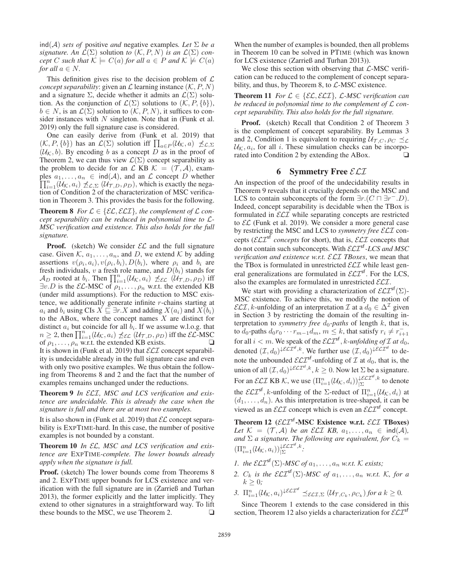ind(A) *sets of* positive *and* negative examples. Let  $\Sigma$  be a *signature. An*  $\mathcal{L}(\Sigma)$  solution *to*  $(\mathcal{K}, P, N)$  *is an*  $\mathcal{L}(\Sigma)$  *concept* C *such that*  $K \models C(a)$  *for all*  $a \in P$  *and*  $K \not\models C(a)$ *for all*  $a \in N$ .

This definition gives rise to the decision problem of  $\mathcal L$ *concept separability*: given an  $\mathcal L$  learning instance  $(\mathcal K, P, N)$ and a signature  $\Sigma$ , decide whether it admits an  $\mathcal{L}(\Sigma)$  solution. As the conjunction of  $\mathcal{L}(\Sigma)$  solutions to  $(\mathcal{K}, P, \{b\})$ ,  $b \in N$ , is an  $\mathcal{L}(\Sigma)$  solution to  $(\mathcal{K}, P, N)$ , it suffices to consider instances with  $N$  singleton. Note that in (Funk et al. 2019) only the full signature case is considered.

One can easily derive from (Funk et al. 2019) that  $(\mathcal{K}, P, \{b\})$  has an  $\mathcal{L}(\Sigma)$  solution iff  $\prod_{a \in P} (\mathcal{U}_{\mathcal{K}}, a) \not\preceq_{\mathcal{L}, \Sigma}$  $(\mathcal{U}_{\mathcal{K}}, b)$ . By encoding b as a concept D as in the proof of Theorem 2, we can thus view  $\mathcal{L}(\Sigma)$  concept separability as the problem to decide for an  $\mathcal L$  KB  $\mathcal K = (\mathcal T, \mathcal A)$ , exam- $\prod_{i=1}^n (\mathcal{U}_{\mathcal{K}}, a_i) \nleq_{\mathcal{L}, \Sigma} (\mathcal{U}_{\mathcal{T}, D}, \rho_D)$ , which is exactly the negaples  $a_1, \ldots, a_n \in \text{ind}(\mathcal{A})$ , and an  $\mathcal L$  concept D whether tion of Condition 2 of the characterization of MSC verification in Theorem 3. This provides the basis for the following.

**Theorem 8** *For*  $\mathcal{L} \in \{ \mathcal{EL}, \mathcal{ELI} \}$ *, the complement of*  $\mathcal{L}$  *concept separability can be reduced in polynomial time to* L*-MSC verification and existence. This also holds for the full signature.*

**Proof.** (sketch) We consider  $\mathcal{EL}$  and the full signature case. Given  $\mathcal{K}, a_1, \ldots, a_n$ , and D, we extend  $\mathcal{K}$  by adding assertions  $v(\rho_i, a_i)$ ,  $v(\rho_i, b_i)$ ,  $D(b_i)$ , where  $\rho_i$  and  $b_i$  are fresh individuals, v a fresh role name, and  $D(b_i)$  stands for  $A_D$  rooted at  $b_i$ . Then  $\prod_{i=1}^n (\mathcal{U}_K, a_i) \npreceq_{\mathcal{EL}} (\mathcal{U}_{\mathcal{T},D}, \rho_D)$  iff  $\exists v.D$  is the *EL*-MSC of  $\rho_1, \ldots, \rho_n$  w.r.t. the extended KB (under mild assumptions). For the reduction to MSC existence, we additionally generate infinite  $r$ -chains starting at  $a_i$  and  $b_i$  using CIs  $X \sqsubseteq \exists r.X$  and adding  $X(a_i)$  and  $X(b_i)$ to the ABox, where the concept names  $X$  are distinct for distinct  $a_i$  but coincide for all  $b_i$ . If we assume w.l.o.g. that  $n \geq 2$ , then  $\prod_{i=1}^{n} (\mathcal{U}_{K}, a_{i}) \npreceq_{\mathcal{EL}} (\mathcal{U}_{T,D}, \rho_{D})$  iff the  $\mathcal{EL}\text{-MSC}$ of  $\rho_1, \ldots, \rho_n$  w.r.t. the extended KB exists.  $\Box$ 

It is shown in (Funk et al. 2019) that  $\mathcal{ELI}$  concept separability is undecidable already in the full signature case and even with only two positive examples. We thus obtain the following from Theorems 8 and 2 and the fact that the number of examples remains unchanged under the reductions.

Theorem 9 *In* ELI*, MSC and LCS verification and existence are undecidable. This is already the case when the signature is full and there are at most two examples.*

It is also shown in (Funk et al. 2019) that  $\mathcal{EL}$  concept separability is EXPTIME-hard. In this case, the number of positive examples is not bounded by a constant.

Theorem 10 *In* EL*, MSC and LCS verification and existence are* EXPTIME*-complete. The lower bounds already apply when the signature is full.*

Proof. (sketch) The lower bounds come from Theorems 8 and 2. EXPTIME upper bounds for LCS existence and verification with the full signature are in (Zarrieß and Turhan 2013), the former explicitly and the latter implicitly. They extend to other signatures in a straightforward way. To lift these bounds to the MSC, we use Theorem 2.  $\Box$ 

When the number of examples is bounded, then all problems in Theorem 10 can be solved in PTIME (which was known for LCS existence (Zarrieß and Turhan 2013)).

We close this section with observing that  $\mathcal{L}\text{-MSC}$  verification can be reduced to the complement of concept separability, and thus, by Theorem 8, to  $\mathcal{L}\text{-MSC}$  existence.

**Theorem 11** *For*  $\mathcal{L} \in \{ \mathcal{EL}, \mathcal{ELI} \}$ *,*  $\mathcal{L}\text{-}MSC$  *verification can be reduced in polynomial time to the complement of* L *concept separability. This also holds for the full signature.*

Proof. (sketch) Recall that Condition 2 of Theorem 3 is the complement of concept separability. By Lemmas 3 and 2, Condition 1 is equivalent to requiring  $\mathcal{U}_{\mathcal{T},C}, \rho_C \preceq_{\mathcal{L}}$  $U_K$ ,  $a_i$ , for all *i*. These simulation checks can be incorporated into Condition 2 by extending the ABox rated into Condition 2 by extending the ABox.

# 6 Symmetry Free  $\mathcal{ELI}$

An inspection of the proof of the undecidability results in Theorem 9 reveals that it crucially depends on the MSC and LCS to contain subconcepts of the form  $\exists r.(C \sqcap \exists r^-.D)$ . Indeed, concept separability is decidable when the TBox is formulated in  $\mathcal{ELI}$  while separating concepts are restricted to  $\mathcal{EL}$  (Funk et al. 2019). We consider a more general case by restricting the MSC and LCS to *symmetry free* ELI concepts ( $\mathcal{ELI}^{sf}$  *concepts* for short), that is,  $\mathcal{ELI}$  concepts that do not contain such subconcepts. With  $\mathcal{ELI}^{sf}\text{-}LCS$  and MSC *verification and existence w.r.t.* ELI *TBoxes*, we mean that the TBox is formulated in unrestricted  $\mathcal{ELI}$  while least general generalizations are formulated in  $\mathcal{ELI}^{sf}$ . For the LCS, also the examples are formulated in unrestricted  $\mathcal{ELI}$ .

We start with providing a characterization of  $\mathcal{ELI}^{\mathsf{sf}}(\Sigma)$ -MSC existence. To achieve this, we modify the notion of  $\mathcal{ELI}, k$ -unfolding of an interpretation  $\mathcal I$  at a  $d_0 \in \Delta^{\mathcal I}$  given in Section 3 by restricting the domain of the resulting interpretation to *symmetry free*  $d_0$ -paths of length k, that is, to  $d_0$ -paths  $d_0r_0 \cdots r_{m-1}d_m$ ,  $m \leq k$ , that satisfy  $r_i \neq r_{i+1}^$ for all  $i < m$ . We speak of the  $\mathcal{ELI}^{\text{sf}}$ , k-unfolding of  $\mathcal I$  at  $d_0$ , denoted  $(\mathcal{I}, d_0) \downarrow \varepsilon \varepsilon \varepsilon^{f, k}$ . We further use  $(\mathcal{I}, d_0) \downarrow \varepsilon \varepsilon^{f, f}$  to denote the unbounded  $\mathcal{ELI}^{sf}$ -unfolding of  $\mathcal I$  at  $d_0$ , that is, the union of all  $(\mathcal{I}, d_0) \xleftarrow{\ell \mathcal{LI}^{sf}, k} k \geq 0$ . Now let  $\Sigma$  be a signature. For an  $\mathcal{ELI}$  KB K, we use  $(\Pi_{i=1}^n(\mathcal{U}_{\mathcal{K}},d_i))_{|\Sigma}^{\mathcal{LELI}^{\text{sf}},k}$  to denote the  $\mathcal{ELI}^{sf}$ , k-unfolding of the  $\Sigma$ -reduct of  $\Pi_{i=1}^n(\mathcal{U}_\mathcal{K}, d_i)$  at  $(d_1, \ldots, d_n)$ . As this interpretation is tree-shaped, it can be viewed as an  $\mathcal{ELI}$  concept which is even an  $\mathcal{ELI}^{sf}$  concept.

Theorem 12 ( $\mathcal{ELI}^{sf}\text{-MSC}$  Existence w.r.t.  $\mathcal{ELI}$  TBoxes) *Let*  $K = (\mathcal{T}, \mathcal{A})$  *be an ELI KB,*  $a_1, \ldots, a_n \in \text{ind}(\mathcal{A})$ *, and*  $\Sigma$  *a signature. The following are equivalent, for*  $C_k =$  $(\Pi_{i=1}^n(\mathcal{U}_{\mathcal{K}},a_i))_{|\Sigma}^{\downarrow \mathcal{ELI}^{\mathsf{sf}},k}$ .

- *1. the*  $\mathcal{ELI}^{sf}(\Sigma)$ *-MSC of*  $a_1, \ldots, a_n$  *w.r.t.*  $K$  *exists;*
- *2.*  $C_k$  *is the*  $\mathcal{ELI}^{\mathsf{sf}}(\Sigma)$ *-MSC of*  $a_1, \ldots, a_n$  *w.r.t.* K*, for* a  $k \geq 0$ ;
- 3.  $\Pi_{i=1}^n (\mathcal{U}_{\mathcal{K}}, a_i)^{\downarrow \mathcal{ELI}^{st}} \preceq_{\mathcal{ELI}, \Sigma} (\mathcal{U}_{\mathcal{T}, C_k}, \rho_{C_k})$  *for a*  $k \geq 0$ *.*

Since Theorem 1 extends to the case considered in this section, Theorem 12 also yields a characterization for  $\mathcal{ELI}^{st}$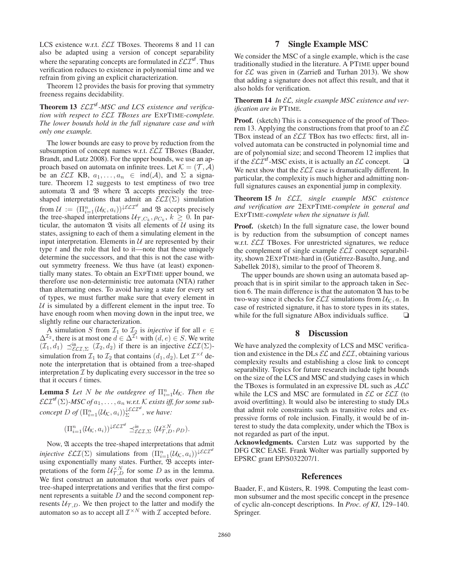LCS existence w.r.t.  $\mathcal{ELI}$  TBoxes. Theorems 8 and 11 can also be adapted using a version of concept separability where the separating concepts are formulated in  $\mathcal{ELI}^{sf}$ . Thus verification reduces to existence in polynomial time and we refrain from giving an explicit characterization.

Theorem 12 provides the basis for proving that symmetry freeness regains decidability.

Theorem 13  $\mathcal{ELI}^{sf}$ -MSC and LCS existence and verifica*tion with respect to* ELI *TBoxes are* EXPTIME*-complete. The lower bounds hold in the full signature case and with only one example.*

The lower bounds are easy to prove by reduction from the subsumption of concept names w.r.t. *ELI* TBoxes (Baader, Brandt, and Lutz 2008). For the upper bounds, we use an approach based on automata on infinite trees. Let  $\mathcal{K} = (\mathcal{T}, \mathcal{A})$ be an *ELI* KB,  $a_1, \ldots, a_n \in \text{ind}(\mathcal{A})$ , and  $\Sigma$  a signature. Theorem 12 suggests to test emptiness of two tree automata  $\mathfrak A$  and  $\mathfrak B$  where  $\mathfrak A$  accepts precisely the treeshaped interpretations that admit an  $\mathcal{ELI}(\Sigma)$  simulation from  $\mathcal{U} := (\Pi_{i=1}^n (\mathcal{U}_{\mathcal{K}}, a_i))^{\downarrow \mathcal{ELI}^{\text{sf}}}$  and  $\mathfrak{B}$  accepts precisely the tree-shaped interpretations  $\mathcal{U}_{\mathcal{T},C_k}, \rho_{C_k}, k \geq 0$ . In particular, the automaton  $\mathfrak A$  visits all elements of  $\mathcal U$  using its states, assigning to each of them a simulating element in the input interpretation. Elements in  $U$  are represented by their type  $t$  and the role that led to it—note that these uniquely determine the successors, and that this is not the case without symmetry freeness. We thus have (at least) exponentially many states. To obtain an EXPTIME upper bound, we therefore use non-deterministic tree automata (NTA) rather than alternating ones. To avoid having a state for every set of types, we must further make sure that every element in  $U$  is simulated by a different element in the input tree. To have enough room when moving down in the input tree, we slightly refine our characterization.

A simulation S from  $\mathcal{I}_1$  to  $\mathcal{I}_2$  is *injective* if for all  $e \in$  $\Delta^{\mathcal{I}_2}$ , there is at most one  $d \in \Delta^{\mathcal{I}_1}$  with  $(d, e) \in S$ . We write  $(\mathcal{I}_1, d_1) \preceq_{\mathcal{ELI}, \Sigma}^{\text{in}} (\mathcal{I}_2, d_2)$  if there is an injective  $\mathcal{ELI}(\Sigma)$ simulation from  $\mathcal{I}_1$  to  $\mathcal{I}_2$  that contains  $(d_1, d_2)$ . Let  $\mathcal{I}^{\times \ell}$  denote the interpretation that is obtained from a tree-shaped interpretation  $I$  by duplicating every successor in the tree so that it occurs  $\ell$  times.

**Lemma 5** Let N be the outdegree of  $\prod_{i=1}^{n} U_K$ . Then the  $\mathcal{ELI}^{sf}(\Sigma)$ -MSC of  $a_1, \ldots, a_n$  w.r.t. K exists iff, for some sub- $\overline{c}$ *concept*  $D$  *of*  $(\Pi_{i=1}^n(\mathcal{U}_{\mathcal{K}},a_i))_{\Sigma}^{\downarrow \mathcal{ELI}^{\text{sf}}},$  we have:

$$
(\Pi_{i=1}^n(\mathcal{U}_{\mathcal{K}},a_i))^{\downarrow\mathcal{ELI}^{\text{sf}}}\preceq_{\mathcal{ELI},\Sigma}^{\text{in}}(\mathcal{U}_{\mathcal{T},D}^{\times N},\rho_D).
$$

Now, A accepts the tree-shaped interpretations that admit *injective*  $\mathcal{ELI}(\Sigma)$  simulations from  $(\Pi_{i=1}^n(\mathcal{U}_{\mathcal{K}},a_i))^{\downarrow\mathcal{ELI}^{st}}$ using exponentially many states. Further,  $\mathfrak B$  accepts interpretations of the form  $\mathcal{U}_{\mathcal{T},D}^{\times N}$  for some D as in the lemma. We first construct an automaton that works over pairs of tree-shaped interpretations and verifies that the first component represents a suitable D and the second component represents  $U_{\mathcal{T},D}$ . We then project to the latter and modify the automaton so as to accept all  $\mathcal{I}^{\times N}$  with  $\mathcal I$  accepted before.

## 7 Single Example MSC

We consider the MSC of a single example, which is the case traditionally studied in the literature. A PTIME upper bound for  $\mathcal{EL}$  was given in (Zarrieß and Turhan 2013). We show that adding a signature does not affect this result, and that it also holds for verification.

Theorem 14 *In* EL*, single example MSC existence and verification are in* PTIME*.*

Proof. (sketch) This is a consequence of the proof of Theorem 13. Applying the constructions from that proof to an  $\mathcal{EL}$ TBox instead of an  $\mathcal{ELI}$  TBox has two effects: first, all involved automata can be constructed in polynomial time and are of polynomial size; and second Theorem 12 implies that if the  $\mathcal{ELI}^{sf}$ -MSC exists, it is actually an  $\mathcal{EL}$  concept.  $\Box$ We next show that the  $\mathcal{ELI}$  case is dramatically different. In particular, the complexity is much higher and admitting nonfull signatures causes an exponential jump in complexity.

Theorem 15 *In* ELI*, single example MSC existence and verification are* 2EXPTIME*-complete in general and* EXPTIME*-complete when the signature is full.*

Proof. (sketch) In the full signature case, the lower bound is by reduction from the subsumption of concept names w.r.t. *ELI* TBoxes. For unrestricted signatures, we reduce the complement of single example  $\mathcal{ELI}$  concept separability, shown 2EXPTIME-hard in (Gutiérrez-Basulto, Jung, and Sabellek 2018), similar to the proof of Theorem 8.

The upper bounds are shown using an automata based approach that is in spirit similar to the approach taken in Section 6. The main difference is that the automaton  $\mathfrak A$  has to be two-way since it checks for  $\mathcal{ELI}$  simulations from  $\mathcal{U}_{\mathcal{K}}$ , a. In case of restricted signature, it has to store types in its states, while for the full signature ABox individuals suffice.  $\Box$ 

# 8 Discussion

We have analyzed the complexity of LCS and MSC verification and existence in the DLs  $\mathcal{EL}$  and  $\mathcal{ELI}$ , obtaining various complexity results and establishing a close link to concept separability. Topics for future research include tight bounds on the size of the LCS and MSC and studying cases in which the TBoxes is formulated in an expressive DL such as  $ALC$ while the LCS and MSC are formulated in  $\mathcal{EL}$  or  $\mathcal{ELI}$  (to avoid overfitting). It would also be interesting to study DLs that admit role constraints such as transitive roles and expressive forms of role inclusion. Finally, it would be of interest to study the data complexity, under which the TBox is not regarded as part of the input.

Acknowledgments. Carsten Lutz was supported by the DFG CRC EASE. Frank Wolter was partially supported by EPSRC grant EP/S032207/1.

#### References

Baader, F., and Küsters, R. 1998. Computing the least common subsumer and the most specific concept in the presence of cyclic aln-concept descriptions. In *Proc. of KI*, 129–140. Springer.